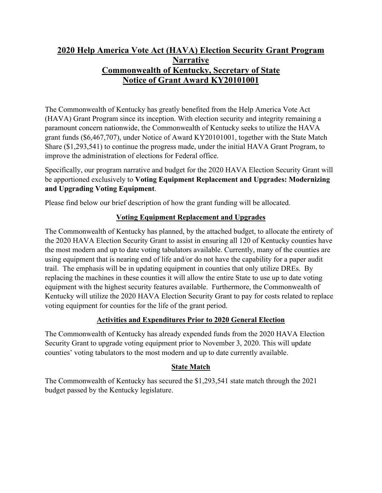## **2020 Help America Vote Act (HAVA) Election Security Grant Program Narrative Commonwealth of Kentucky, Secretary of State Notice of Grant Award KY20101001**

The Commonwealth of Kentucky has greatly benefited from the Help America Vote Act (HAVA) Grant Program since its inception. With election security and integrity remaining a paramount concern nationwide, the Commonwealth of Kentucky seeks to utilize the HAVA grant funds (\$6,467,707), under Notice of Award KY20101001, together with the State Match Share (\$1,293,541) to continue the progress made, under the initial HAVA Grant Program, to improve the administration of elections for Federal office.

Specifically, our program narrative and budget for the 2020 HAVA Election Security Grant will be apportioned exclusively to **Voting Equipment Replacement and Upgrades: Modernizing and Upgrading Voting Equipment**.

Please find below our brief description of how the grant funding will be allocated.

## **Voting Equipment Replacement and Upgrades**

The Commonwealth of Kentucky has planned, by the attached budget, to allocate the entirety of the 2020 HAVA Election Security Grant to assist in ensuring all 120 of Kentucky counties have the most modern and up to date voting tabulators available. Currently, many of the counties are using equipment that is nearing end of life and/or do not have the capability for a paper audit trail. The emphasis will be in updating equipment in counties that only utilize DREs. By replacing the machines in these counties it will allow the entire State to use up to date voting equipment with the highest security features available. Furthermore, the Commonwealth of Kentucky will utilize the 2020 HAVA Election Security Grant to pay for costs related to replace voting equipment for counties for the life of the grant period.

## **Activities and Expenditures Prior to 2020 General Election**

The Commonwealth of Kentucky has already expended funds from the 2020 HAVA Election Security Grant to upgrade voting equipment prior to November 3, 2020. This will update counties' voting tabulators to the most modern and up to date currently available.

## **State Match**

The Commonwealth of Kentucky has secured the \$1,293,541 state match through the 2021 budget passed by the Kentucky legislature.